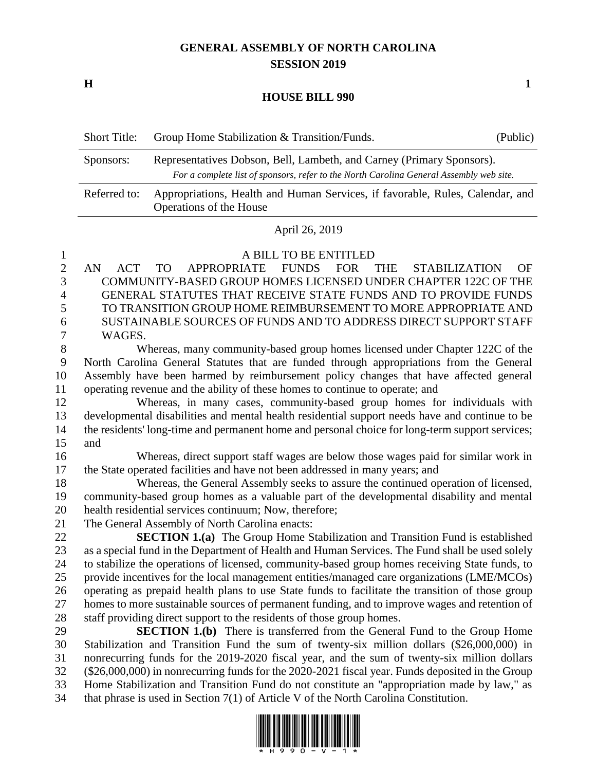# **GENERAL ASSEMBLY OF NORTH CAROLINA SESSION 2019**

**H 1**

### **HOUSE BILL 990**

| <b>Short Title:</b> | Group Home Stabilization & Transition/Funds.                                                                                                                     | (Public) |
|---------------------|------------------------------------------------------------------------------------------------------------------------------------------------------------------|----------|
| Sponsors:           | Representatives Dobson, Bell, Lambeth, and Carney (Primary Sponsors).<br>For a complete list of sponsors, refer to the North Carolina General Assembly web site. |          |
| Referred to:        | Appropriations, Health and Human Services, if favorable, Rules, Calendar, and<br>Operations of the House                                                         |          |

## April 26, 2019

### A BILL TO BE ENTITLED

 AN ACT TO APPROPRIATE FUNDS FOR THE STABILIZATION OF COMMUNITY-BASED GROUP HOMES LICENSED UNDER CHAPTER 122C OF THE GENERAL STATUTES THAT RECEIVE STATE FUNDS AND TO PROVIDE FUNDS TO TRANSITION GROUP HOME REIMBURSEMENT TO MORE APPROPRIATE AND SUSTAINABLE SOURCES OF FUNDS AND TO ADDRESS DIRECT SUPPORT STAFF WAGES.

 Whereas, many community-based group homes licensed under Chapter 122C of the North Carolina General Statutes that are funded through appropriations from the General Assembly have been harmed by reimbursement policy changes that have affected general operating revenue and the ability of these homes to continue to operate; and

 Whereas, in many cases, community-based group homes for individuals with developmental disabilities and mental health residential support needs have and continue to be 14 the residents' long-time and permanent home and personal choice for long-term support services; and

 Whereas, direct support staff wages are below those wages paid for similar work in the State operated facilities and have not been addressed in many years; and

 Whereas, the General Assembly seeks to assure the continued operation of licensed, community-based group homes as a valuable part of the developmental disability and mental health residential services continuum; Now, therefore;

The General Assembly of North Carolina enacts:

 **SECTION 1.(a)** The Group Home Stabilization and Transition Fund is established as a special fund in the Department of Health and Human Services. The Fund shall be used solely to stabilize the operations of licensed, community-based group homes receiving State funds, to provide incentives for the local management entities/managed care organizations (LME/MCOs) operating as prepaid health plans to use State funds to facilitate the transition of those group homes to more sustainable sources of permanent funding, and to improve wages and retention of staff providing direct support to the residents of those group homes.

 **SECTION 1.(b)** There is transferred from the General Fund to the Group Home Stabilization and Transition Fund the sum of twenty-six million dollars (\$26,000,000) in nonrecurring funds for the 2019-2020 fiscal year, and the sum of twenty-six million dollars (\$26,000,000) in nonrecurring funds for the 2020-2021 fiscal year. Funds deposited in the Group Home Stabilization and Transition Fund do not constitute an "appropriation made by law," as that phrase is used in Section 7(1) of Article V of the North Carolina Constitution.

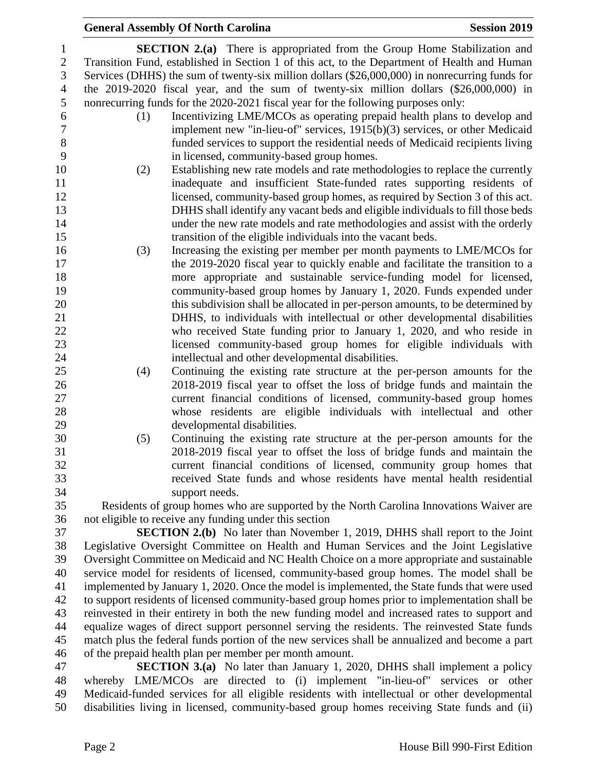## **General Assembly Of North Carolina Session 2019 Session 2019**

 **SECTION 2.(a)** There is appropriated from the Group Home Stabilization and Transition Fund, established in Section 1 of this act, to the Department of Health and Human Services (DHHS) the sum of twenty-six million dollars (\$26,000,000) in nonrecurring funds for the 2019-2020 fiscal year, and the sum of twenty-six million dollars (\$26,000,000) in nonrecurring funds for the 2020-2021 fiscal year for the following purposes only:

- (1) Incentivizing LME/MCOs as operating prepaid health plans to develop and implement new "in-lieu-of" services, 1915(b)(3) services, or other Medicaid funded services to support the residential needs of Medicaid recipients living in licensed, community-based group homes.
- (2) Establishing new rate models and rate methodologies to replace the currently inadequate and insufficient State-funded rates supporting residents of licensed, community-based group homes, as required by Section 3 of this act. DHHS shall identify any vacant beds and eligible individuals to fill those beds under the new rate models and rate methodologies and assist with the orderly transition of the eligible individuals into the vacant beds.
- (3) Increasing the existing per member per month payments to LME/MCOs for the 2019-2020 fiscal year to quickly enable and facilitate the transition to a more appropriate and sustainable service-funding model for licensed, community-based group homes by January 1, 2020. Funds expended under this subdivision shall be allocated in per-person amounts, to be determined by DHHS, to individuals with intellectual or other developmental disabilities who received State funding prior to January 1, 2020, and who reside in licensed community-based group homes for eligible individuals with intellectual and other developmental disabilities.
- (4) Continuing the existing rate structure at the per-person amounts for the 2018-2019 fiscal year to offset the loss of bridge funds and maintain the current financial conditions of licensed, community-based group homes whose residents are eligible individuals with intellectual and other developmental disabilities.
- (5) Continuing the existing rate structure at the per-person amounts for the 2018-2019 fiscal year to offset the loss of bridge funds and maintain the current financial conditions of licensed, community group homes that received State funds and whose residents have mental health residential support needs.

 Residents of group homes who are supported by the North Carolina Innovations Waiver are not eligible to receive any funding under this section

 **SECTION 2.(b)** No later than November 1, 2019, DHHS shall report to the Joint Legislative Oversight Committee on Health and Human Services and the Joint Legislative Oversight Committee on Medicaid and NC Health Choice on a more appropriate and sustainable service model for residents of licensed, community-based group homes. The model shall be implemented by January 1, 2020. Once the model is implemented, the State funds that were used to support residents of licensed community-based group homes prior to implementation shall be reinvested in their entirety in both the new funding model and increased rates to support and equalize wages of direct support personnel serving the residents. The reinvested State funds match plus the federal funds portion of the new services shall be annualized and become a part of the prepaid health plan per member per month amount.

 **SECTION 3.(a)** No later than January 1, 2020, DHHS shall implement a policy whereby LME/MCOs are directed to (i) implement "in-lieu-of" services or other Medicaid-funded services for all eligible residents with intellectual or other developmental disabilities living in licensed, community-based group homes receiving State funds and (ii)